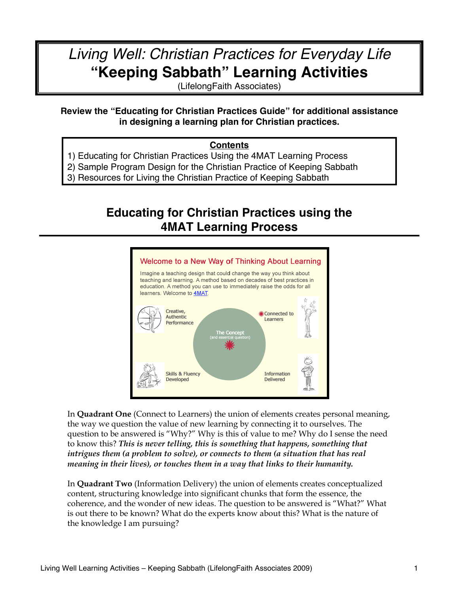# *Living Well: Christian Practices for Everyday Life* **"Keeping Sabbath" Learning Activities**

(LifelongFaith Associates)

### **Review the "Educating for Christian Practices Guide" for additional assistance in designing a learning plan for Christian practices.**

#### **Contents**

- 1) Educating for Christian Practices Using the 4MAT Learning Process
- 2) Sample Program Design for the Christian Practice of Keeping Sabbath
- 3) Resources for Living the Christian Practice of Keeping Sabbath

## **Educating for Christian Practices using the 4MAT Learning Process**



In **Quadrant One** (Connect to Learners) the union of elements creates personal meaning, the way we question the value of new learning by connecting it to ourselves. The question to be answered is "Why?" Why is this of value to me? Why do I sense the need to know this? *This is never telling, this is something that happens, something that intrigues them (a problem to solve), or connects to them (a situation that has real meaning in their lives), or touches them in a way that links to their humanity.*

In **Quadrant Two** (Information Delivery) the union of elements creates conceptualized content, structuring knowledge into significant chunks that form the essence, the coherence, and the wonder of new ideas. The question to be answered is "What?" What is out there to be known? What do the experts know about this? What is the nature of the knowledge I am pursuing?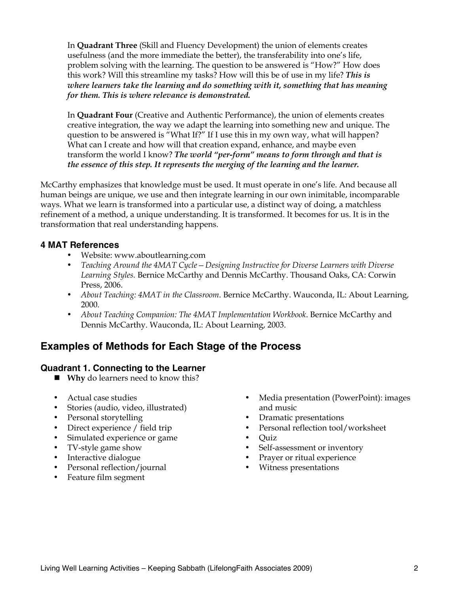In **Quadrant Three** (Skill and Fluency Development) the union of elements creates usefulness (and the more immediate the better), the transferability into one's life, problem solving with the learning. The question to be answered is "How?" How does this work? Will this streamline my tasks? How will this be of use in my life? *This is where learners take the learning and do something with it, something that has meaning for them. This is where relevance is demonstrated.* 

In **Quadrant Four** (Creative and Authentic Performance), the union of elements creates creative integration, the way we adapt the learning into something new and unique. The question to be answered is "What If?" If I use this in my own way, what will happen? What can I create and how will that creation expand, enhance, and maybe even transform the world I know? *The world "per-form" means to form through and that is the essence of this step. It represents the merging of the learning and the learner.*

McCarthy emphasizes that knowledge must be used. It must operate in one's life. And because all human beings are unique, we use and then integrate learning in our own inimitable, incomparable ways. What we learn is transformed into a particular use, a distinct way of doing, a matchless refinement of a method, a unique understanding. It is transformed. It becomes for us. It is in the transformation that real understanding happens.

### **4 MAT References**

- Website: www.aboutlearning.com
- *Teaching Around the 4MAT Cycle—Designing Instructive for Diverse Learners with Diverse Learning Styles.* Bernice McCarthy and Dennis McCarthy. Thousand Oaks, CA: Corwin Press, 2006.
- *About Teaching: 4MAT in the Classroom*. Bernice McCarthy. Wauconda, IL: About Learning, 2000.
- *About Teaching Companion: The 4MAT Implementation Workbook*. Bernice McCarthy and Dennis McCarthy. Wauconda, IL: About Learning, 2003.

## **Examples of Methods for Each Stage of the Process**

#### **Quadrant 1. Connecting to the Learner**

- **Why** do learners need to know this?
- Actual case studies
- Stories (audio, video, illustrated)
- Personal storytelling
- Direct experience / field trip
- Simulated experience or game
- TV-style game show
- Interactive dialogue
- Personal reflection/journal
- Feature film segment
- Media presentation (PowerPoint): images and music
- Dramatic presentations
- Personal reflection tool/worksheet
- Quiz
- Self-assessment or inventory
- Prayer or ritual experience
- Witness presentations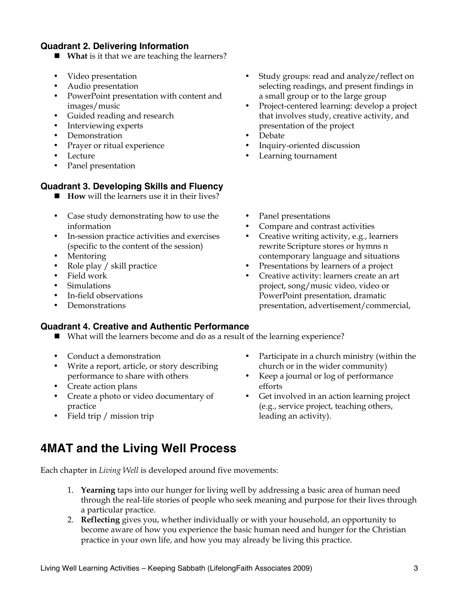### **Quadrant 2. Delivering Information**

- **What** is it that we are teaching the learners?
- Video presentation
- Audio presentation
- PowerPoint presentation with content and images/music
- Guided reading and research
- Interviewing experts
- Demonstration
- Prayer or ritual experience
- Lecture
- Panel presentation

#### **Quadrant 3. Developing Skills and Fluency**

- **How** will the learners use it in their lives?
- Case study demonstrating how to use the information
- In-session practice activities and exercises (specific to the content of the session)
- Mentoring
- Role play / skill practice
- Field work
- **Simulations**
- In-field observations
- Demonstrations

#### **Quadrant 4. Creative and Authentic Performance**

- What will the learners become and do as a result of the learning experience?
- Conduct a demonstration
- Write a report, article, or story describing performance to share with others
- Create action plans
- Create a photo or video documentary of practice
- Field trip / mission trip

#### • Study groups: read and analyze/reflect on selecting readings, and present findings in a small group or to the large group

- Project-centered learning: develop a project that involves study, creative activity, and presentation of the project
- Debate
- Inquiry-oriented discussion
- Learning tournament
- Panel presentations
- Compare and contrast activities
- Creative writing activity, e.g., learners rewrite Scripture stores or hymns n contemporary language and situations
- Presentations by learners of a project
- Creative activity: learners create an art project, song/music video, video or PowerPoint presentation, dramatic presentation, advertisement/commercial,
- Participate in a church ministry (within the church or in the wider community)
- Keep a journal or log of performance efforts
- Get involved in an action learning project (e.g., service project, teaching others, leading an activity).

## **4MAT and the Living Well Process**

Each chapter in *Living Well* is developed around five movements:

- 1. **Yearning** taps into our hunger for living well by addressing a basic area of human need through the real-life stories of people who seek meaning and purpose for their lives through a particular practice.
- 2. **Reflecting** gives you, whether individually or with your household, an opportunity to become aware of how you experience the basic human need and hunger for the Christian practice in your own life, and how you may already be living this practice.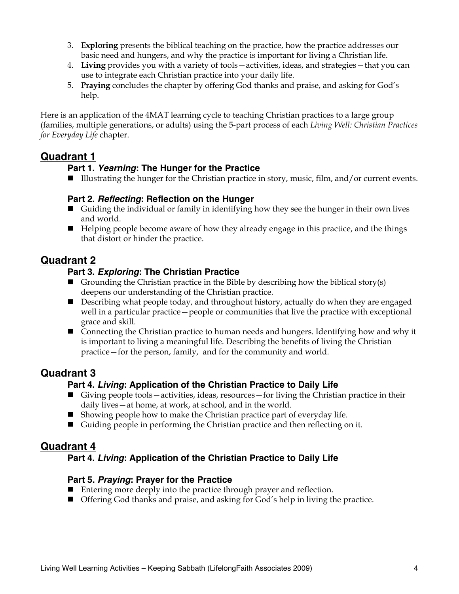- 3. **Exploring** presents the biblical teaching on the practice, how the practice addresses our basic need and hungers, and why the practice is important for living a Christian life.
- 4. **Living** provides you with a variety of tools—activities, ideas, and strategies—that you can use to integrate each Christian practice into your daily life.
- 5. **Praying** concludes the chapter by offering God thanks and praise, and asking for God's help.

Here is an application of the 4MAT learning cycle to teaching Christian practices to a large group (families, multiple generations, or adults) using the 5-part process of each *Living Well: Christian Practices for Everyday Life* chapter.

## **Quadrant 1**

### **Part 1.** *Yearning***: The Hunger for the Practice**

■ Illustrating the hunger for the Christian practice in story, music, film, and/or current events.

#### **Part 2.** *Reflecting***: Reflection on the Hunger**

- Guiding the individual or family in identifying how they see the hunger in their own lives and world.
- Helping people become aware of how they already engage in this practice, and the things that distort or hinder the practice.

## **Quadrant 2**

### **Part 3.** *Exploring***: The Christian Practice**

- Grounding the Christian practice in the Bible by describing how the biblical story(s) deepens our understanding of the Christian practice.
- **Describing what people today, and throughout history, actually do when they are engaged** well in a particular practice—people or communities that live the practice with exceptional grace and skill.
- Connecting the Christian practice to human needs and hungers. Identifying how and why it is important to living a meaningful life. Describing the benefits of living the Christian practice—for the person, family, and for the community and world.

## **Quadrant 3**

### **Part 4.** *Living***: Application of the Christian Practice to Daily Life**

- Giving people tools—activities, ideas, resources—for living the Christian practice in their daily lives—at home, at work, at school, and in the world.
- $\blacksquare$  Showing people how to make the Christian practice part of everyday life.
- Guiding people in performing the Christian practice and then reflecting on it.

## **Quadrant 4**

## **Part 4.** *Living***: Application of the Christian Practice to Daily Life**

### **Part 5.** *Praying***: Prayer for the Practice**

- Entering more deeply into the practice through prayer and reflection.
- Offering God thanks and praise, and asking for God's help in living the practice.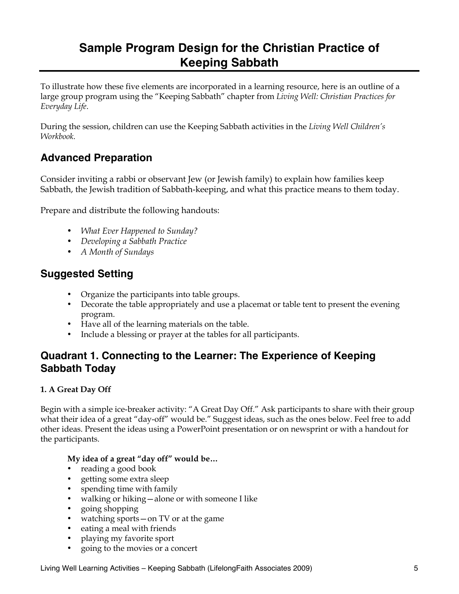## **Sample Program Design for the Christian Practice of Keeping Sabbath**

To illustrate how these five elements are incorporated in a learning resource, here is an outline of a large group program using the "Keeping Sabbath" chapter from *Living Well: Christian Practices for Everyday Life*.

During the session, children can use the Keeping Sabbath activities in the *Living Well Children's Workbook.* 

## **Advanced Preparation**

Consider inviting a rabbi or observant Jew (or Jewish family) to explain how families keep Sabbath, the Jewish tradition of Sabbath-keeping, and what this practice means to them today.

Prepare and distribute the following handouts:

- *What Ever Happened to Sunday?*
- *Developing a Sabbath Practice*
- *A Month of Sundays*

## **Suggested Setting**

- Organize the participants into table groups.
- Decorate the table appropriately and use a placemat or table tent to present the evening program.
- Have all of the learning materials on the table.
- Include a blessing or prayer at the tables for all participants.

## **Quadrant 1. Connecting to the Learner: The Experience of Keeping Sabbath Today**

#### **1. A Great Day Off**

Begin with a simple ice-breaker activity: "A Great Day Off." Ask participants to share with their group what their idea of a great "day-off" would be." Suggest ideas, such as the ones below. Feel free to add other ideas. Present the ideas using a PowerPoint presentation or on newsprint or with a handout for the participants.

#### **My idea of a great "day off" would be…**

- reading a good book
- getting some extra sleep
- spending time with family
- walking or hiking—alone or with someone I like
- going shopping
- watching sports—on TV or at the game
- eating a meal with friends
- playing my favorite sport
- going to the movies or a concert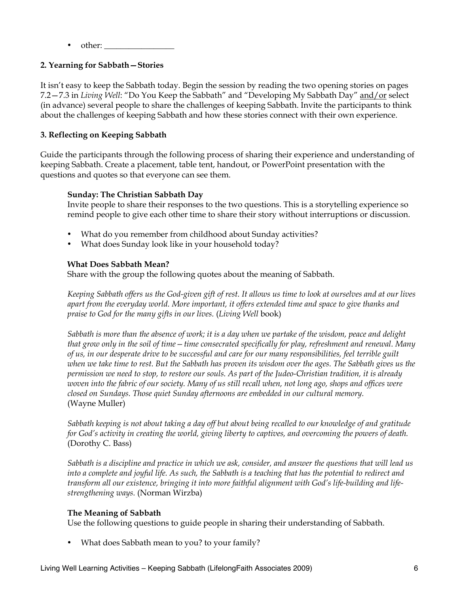• other:

#### **2. Yearning for Sabbath—Stories**

It isn't easy to keep the Sabbath today. Begin the session by reading the two opening stories on pages 7.2—7.3 in *Living Well*: "Do You Keep the Sabbath" and "Developing My Sabbath Day" and/or select (in advance) several people to share the challenges of keeping Sabbath. Invite the participants to think about the challenges of keeping Sabbath and how these stories connect with their own experience.

#### **3. Reflecting on Keeping Sabbath**

Guide the participants through the following process of sharing their experience and understanding of keeping Sabbath. Create a placement, table tent, handout, or PowerPoint presentation with the questions and quotes so that everyone can see them.

#### **Sunday: The Christian Sabbath Day**

Invite people to share their responses to the two questions. This is a storytelling experience so remind people to give each other time to share their story without interruptions or discussion.

- What do you remember from childhood about Sunday activities?
- What does Sunday look like in your household today?

#### **What Does Sabbath Mean?**

Share with the group the following quotes about the meaning of Sabbath.

*Keeping Sabbath offers us the God-given gift of rest. It allows us time to look at ourselves and at our lives apart from the everyday world. More important, it offers extended time and space to give thanks and praise to God for the many gifts in our lives.* (*Living Well* book)

*Sabbath is more than the absence of work; it is a day when we partake of the wisdom, peace and delight that grow only in the soil of time—time consecrated specifically for play, refreshment and renewal. Many of us, in our desperate drive to be successful and care for our many responsibilities, feel terrible guilt when we take time to rest. But the Sabbath has proven its wisdom over the ages. The Sabbath gives us the permission we need to stop, to restore our souls. As part of the Judeo-Christian tradition, it is already woven into the fabric of our society. Many of us still recall when, not long ago, shops and offices were closed on Sundays. Those quiet Sunday afternoons are embedded in our cultural memory.* (Wayne Muller)

*Sabbath keeping is not about taking a day off but about being recalled to our knowledge of and gratitude for God's activity in creating the world, giving liberty to captives, and overcoming the powers of death.* (Dorothy C. Bass)

*Sabbath is a discipline and practice in which we ask, consider, and answer the questions that will lead us into a complete and joyful life. As such, the Sabbath is a teaching that has the potential to redirect and transform all our existence, bringing it into more faithful alignment with God's life-building and lifestrengthening ways.* (Norman Wirzba)

#### **The Meaning of Sabbath**

Use the following questions to guide people in sharing their understanding of Sabbath.

• What does Sabbath mean to you? to your family?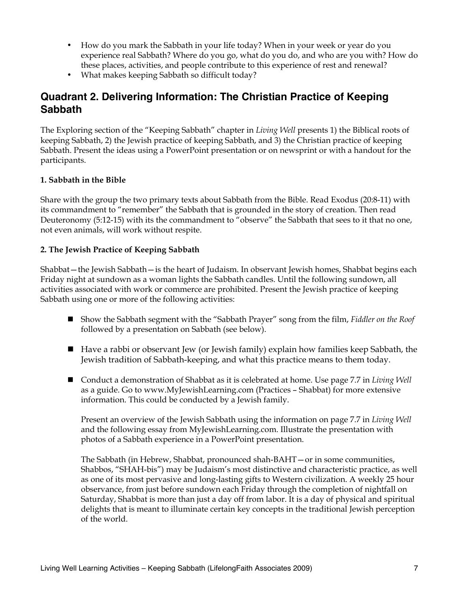- How do you mark the Sabbath in your life today? When in your week or year do you experience real Sabbath? Where do you go, what do you do, and who are you with? How do these places, activities, and people contribute to this experience of rest and renewal?
- What makes keeping Sabbath so difficult today?

## **Quadrant 2. Delivering Information: The Christian Practice of Keeping Sabbath**

The Exploring section of the "Keeping Sabbath" chapter in *Living Well* presents 1) the Biblical roots of keeping Sabbath, 2) the Jewish practice of keeping Sabbath, and 3) the Christian practice of keeping Sabbath. Present the ideas using a PowerPoint presentation or on newsprint or with a handout for the participants.

#### **1. Sabbath in the Bible**

Share with the group the two primary texts about Sabbath from the Bible. Read Exodus (20:8-11) with its commandment to "remember" the Sabbath that is grounded in the story of creation. Then read Deuteronomy (5:12-15) with its the commandment to "observe" the Sabbath that sees to it that no one, not even animals, will work without respite.

#### **2. The Jewish Practice of Keeping Sabbath**

Shabbat—the Jewish Sabbath—is the heart of Judaism. In observant Jewish homes, Shabbat begins each Friday night at sundown as a woman lights the Sabbath candles. Until the following sundown, all activities associated with work or commerce are prohibited. Present the Jewish practice of keeping Sabbath using one or more of the following activities:

- Show the Sabbath segment with the "Sabbath Prayer" song from the film, *Fiddler on the Roof* followed by a presentation on Sabbath (see below).
- Have a rabbi or observant Jew (or Jewish family) explain how families keep Sabbath, the Jewish tradition of Sabbath-keeping, and what this practice means to them today.
- Conduct a demonstration of Shabbat as it is celebrated at home. Use page 7.7 in *Living Well* as a guide. Go to www.MyJewishLearning.com (Practices – Shabbat) for more extensive information. This could be conducted by a Jewish family.

Present an overview of the Jewish Sabbath using the information on page 7.7 in *Living Well* and the following essay from MyJewishLearning.com. Illustrate the presentation with photos of a Sabbath experience in a PowerPoint presentation.

The Sabbath (in Hebrew, Shabbat, pronounced shah-BAHT—or in some communities, Shabbos, "SHAH-bis") may be Judaism's most distinctive and characteristic practice, as well as one of its most pervasive and long-lasting gifts to Western civilization. A weekly 25 hour observance, from just before sundown each Friday through the completion of nightfall on Saturday, Shabbat is more than just a day off from labor. It is a day of physical and spiritual delights that is meant to illuminate certain key concepts in the traditional Jewish perception of the world.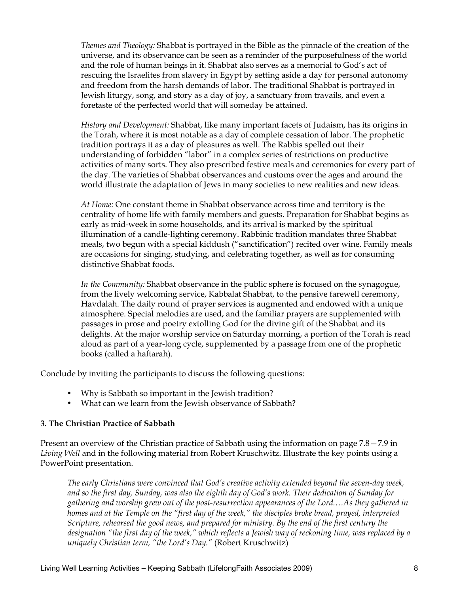*Themes and Theology:* Shabbat is portrayed in the Bible as the pinnacle of the creation of the universe, and its observance can be seen as a reminder of the purposefulness of the world and the role of human beings in it. Shabbat also serves as a memorial to God's act of rescuing the Israelites from slavery in Egypt by setting aside a day for personal autonomy and freedom from the harsh demands of labor. The traditional Shabbat is portrayed in Jewish liturgy, song, and story as a day of joy, a sanctuary from travails, and even a foretaste of the perfected world that will someday be attained.

*History and Development:* Shabbat, like many important facets of Judaism, has its origins in the Torah, where it is most notable as a day of complete cessation of labor. The prophetic tradition portrays it as a day of pleasures as well. The Rabbis spelled out their understanding of forbidden "labor" in a complex series of restrictions on productive activities of many sorts. They also prescribed festive meals and ceremonies for every part of the day. The varieties of Shabbat observances and customs over the ages and around the world illustrate the adaptation of Jews in many societies to new realities and new ideas.

*At Home:* One constant theme in Shabbat observance across time and territory is the centrality of home life with family members and guests. Preparation for Shabbat begins as early as mid-week in some households, and its arrival is marked by the spiritual illumination of a candle-lighting ceremony. Rabbinic tradition mandates three Shabbat meals, two begun with a special kiddush ("sanctification") recited over wine. Family meals are occasions for singing, studying, and celebrating together, as well as for consuming distinctive Shabbat foods.

*In the Community:* Shabbat observance in the public sphere is focused on the synagogue, from the lively welcoming service, Kabbalat Shabbat, to the pensive farewell ceremony, Havdalah. The daily round of prayer services is augmented and endowed with a unique atmosphere. Special melodies are used, and the familiar prayers are supplemented with passages in prose and poetry extolling God for the divine gift of the Shabbat and its delights. At the major worship service on Saturday morning, a portion of the Torah is read aloud as part of a year-long cycle, supplemented by a passage from one of the prophetic books (called a haftarah).

Conclude by inviting the participants to discuss the following questions:

- Why is Sabbath so important in the Jewish tradition?
- What can we learn from the Jewish observance of Sabbath?

#### **3. The Christian Practice of Sabbath**

Present an overview of the Christian practice of Sabbath using the information on page 7.8—7.9 in *Living Well* and in the following material from Robert Kruschwitz. Illustrate the key points using a PowerPoint presentation.

*The early Christians were convinced that God's creative activity extended beyond the seven-day week, and so the first day, Sunday, was also the eighth day of God's work. Their dedication of Sunday for gathering and worship grew out of the post-resurrection appearances of the Lord.…As they gathered in homes and at the Temple on the "first day of the week," the disciples broke bread, prayed, interpreted Scripture, rehearsed the good news, and prepared for ministry. By the end of the first century the designation "the first day of the week," which reflects a Jewish way of reckoning time, was replaced by a uniquely Christian term, "the Lord's Day."* (Robert Kruschwitz)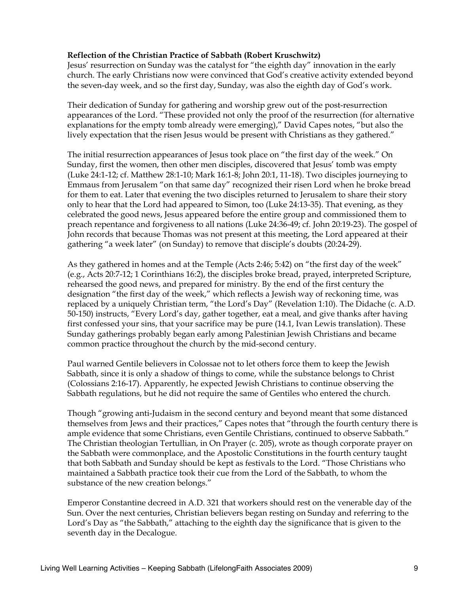#### **Reflection of the Christian Practice of Sabbath (Robert Kruschwitz)**

Jesus' resurrection on Sunday was the catalyst for "the eighth day" innovation in the early church. The early Christians now were convinced that God's creative activity extended beyond the seven-day week, and so the first day, Sunday, was also the eighth day of God's work.

Their dedication of Sunday for gathering and worship grew out of the post-resurrection appearances of the Lord. "These provided not only the proof of the resurrection (for alternative explanations for the empty tomb already were emerging)," David Capes notes, "but also the lively expectation that the risen Jesus would be present with Christians as they gathered."

The initial resurrection appearances of Jesus took place on "the first day of the week." On Sunday, first the women, then other men disciples, discovered that Jesus' tomb was empty (Luke 24:1-12; cf. Matthew 28:1-10; Mark 16:1-8; John 20:1, 11-18). Two disciples journeying to Emmaus from Jerusalem "on that same day" recognized their risen Lord when he broke bread for them to eat. Later that evening the two disciples returned to Jerusalem to share their story only to hear that the Lord had appeared to Simon, too (Luke 24:13-35). That evening, as they celebrated the good news, Jesus appeared before the entire group and commissioned them to preach repentance and forgiveness to all nations (Luke 24:36-49; cf. John 20:19-23). The gospel of John records that because Thomas was not present at this meeting, the Lord appeared at their gathering "a week later" (on Sunday) to remove that disciple's doubts (20:24-29).

As they gathered in homes and at the Temple (Acts 2:46; 5:42) on "the first day of the week" (e.g., Acts 20:7-12; 1 Corinthians 16:2), the disciples broke bread, prayed, interpreted Scripture, rehearsed the good news, and prepared for ministry. By the end of the first century the designation "the first day of the week," which reflects a Jewish way of reckoning time, was replaced by a uniquely Christian term, "the Lord's Day" (Revelation 1:10). The Didache (c. A.D. 50-150) instructs, "Every Lord's day, gather together, eat a meal, and give thanks after having first confessed your sins, that your sacrifice may be pure (14.1, Ivan Lewis translation). These Sunday gatherings probably began early among Palestinian Jewish Christians and became common practice throughout the church by the mid-second century.

Paul warned Gentile believers in Colossae not to let others force them to keep the Jewish Sabbath, since it is only a shadow of things to come, while the substance belongs to Christ (Colossians 2:16-17). Apparently, he expected Jewish Christians to continue observing the Sabbath regulations, but he did not require the same of Gentiles who entered the church.

Though "growing anti-Judaism in the second century and beyond meant that some distanced themselves from Jews and their practices," Capes notes that "through the fourth century there is ample evidence that some Christians, even Gentile Christians, continued to observe Sabbath." The Christian theologian Tertullian, in On Prayer (c. 205), wrote as though corporate prayer on the Sabbath were commonplace, and the Apostolic Constitutions in the fourth century taught that both Sabbath and Sunday should be kept as festivals to the Lord. "Those Christians who maintained a Sabbath practice took their cue from the Lord of the Sabbath, to whom the substance of the new creation belongs."

Emperor Constantine decreed in A.D. 321 that workers should rest on the venerable day of the Sun. Over the next centuries, Christian believers began resting on Sunday and referring to the Lord's Day as "the Sabbath," attaching to the eighth day the significance that is given to the seventh day in the Decalogue.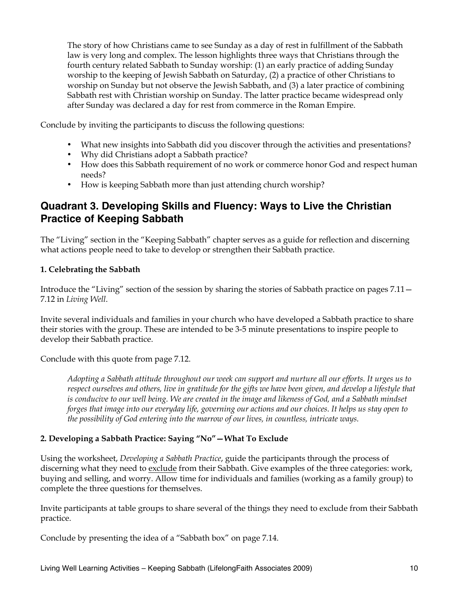The story of how Christians came to see Sunday as a day of rest in fulfillment of the Sabbath law is very long and complex. The lesson highlights three ways that Christians through the fourth century related Sabbath to Sunday worship: (1) an early practice of adding Sunday worship to the keeping of Jewish Sabbath on Saturday, (2) a practice of other Christians to worship on Sunday but not observe the Jewish Sabbath, and (3) a later practice of combining Sabbath rest with Christian worship on Sunday. The latter practice became widespread only after Sunday was declared a day for rest from commerce in the Roman Empire.

Conclude by inviting the participants to discuss the following questions:

- What new insights into Sabbath did you discover through the activities and presentations?
- Why did Christians adopt a Sabbath practice?
- How does this Sabbath requirement of no work or commerce honor God and respect human needs?
- How is keeping Sabbath more than just attending church worship?

## **Quadrant 3. Developing Skills and Fluency: Ways to Live the Christian Practice of Keeping Sabbath**

The "Living" section in the "Keeping Sabbath" chapter serves as a guide for reflection and discerning what actions people need to take to develop or strengthen their Sabbath practice.

#### **1. Celebrating the Sabbath**

Introduce the "Living" section of the session by sharing the stories of Sabbath practice on pages 7.11— 7.12 in *Living Well*.

Invite several individuals and families in your church who have developed a Sabbath practice to share their stories with the group. These are intended to be 3-5 minute presentations to inspire people to develop their Sabbath practice.

Conclude with this quote from page 7.12.

*Adopting a Sabbath attitude throughout our week can support and nurture all our efforts. It urges us to respect ourselves and others, live in gratitude for the gifts we have been given, and develop a lifestyle that* is conducive to our well being. We are created in the image and likeness of God, and a Sabbath mindset *forges that image into our everyday life, governing our actions and our choices. It helps us stay open to the possibility of God entering into the marrow of our lives, in countless, intricate ways.* 

#### **2. Developing a Sabbath Practice: Saying "No"—What To Exclude**

Using the worksheet, *Developing a Sabbath Practice*, guide the participants through the process of discerning what they need to exclude from their Sabbath. Give examples of the three categories: work, buying and selling, and worry. Allow time for individuals and families (working as a family group) to complete the three questions for themselves.

Invite participants at table groups to share several of the things they need to exclude from their Sabbath practice.

Conclude by presenting the idea of a "Sabbath box" on page 7.14.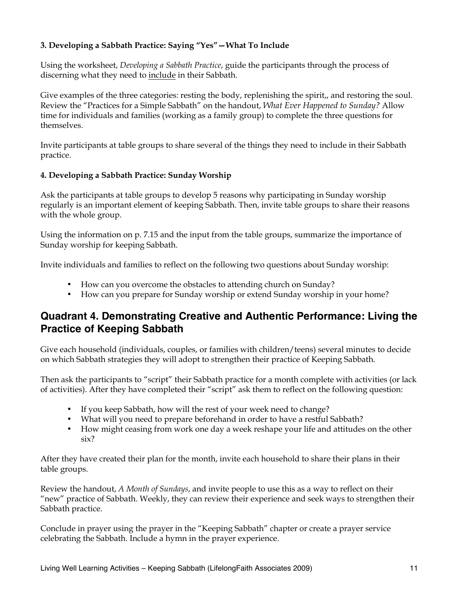### **3. Developing a Sabbath Practice: Saying "Yes"—What To Include**

Using the worksheet, *Developing a Sabbath Practice*, guide the participants through the process of discerning what they need to include in their Sabbath.

Give examples of the three categories: resting the body, replenishing the spirit,, and restoring the soul. Review the "Practices for a Simple Sabbath" on the handout, *What Ever Happened to Sunday?* Allow time for individuals and families (working as a family group) to complete the three questions for themselves.

Invite participants at table groups to share several of the things they need to include in their Sabbath practice.

#### **4. Developing a Sabbath Practice: Sunday Worship**

Ask the participants at table groups to develop 5 reasons why participating in Sunday worship regularly is an important element of keeping Sabbath. Then, invite table groups to share their reasons with the whole group.

Using the information on p. 7.15 and the input from the table groups, summarize the importance of Sunday worship for keeping Sabbath.

Invite individuals and families to reflect on the following two questions about Sunday worship:

- How can you overcome the obstacles to attending church on Sunday?
- How can you prepare for Sunday worship or extend Sunday worship in your home?

## **Quadrant 4. Demonstrating Creative and Authentic Performance: Living the Practice of Keeping Sabbath**

Give each household (individuals, couples, or families with children/teens) several minutes to decide on which Sabbath strategies they will adopt to strengthen their practice of Keeping Sabbath.

Then ask the participants to "script" their Sabbath practice for a month complete with activities (or lack of activities). After they have completed their "script" ask them to reflect on the following question:

- If you keep Sabbath, how will the rest of your week need to change?
- What will you need to prepare beforehand in order to have a restful Sabbath?
- How might ceasing from work one day a week reshape your life and attitudes on the other six?

After they have created their plan for the month, invite each household to share their plans in their table groups.

Review the handout, *A Month of Sundays*, and invite people to use this as a way to reflect on their "new" practice of Sabbath. Weekly, they can review their experience and seek ways to strengthen their Sabbath practice.

Conclude in prayer using the prayer in the "Keeping Sabbath" chapter or create a prayer service celebrating the Sabbath. Include a hymn in the prayer experience.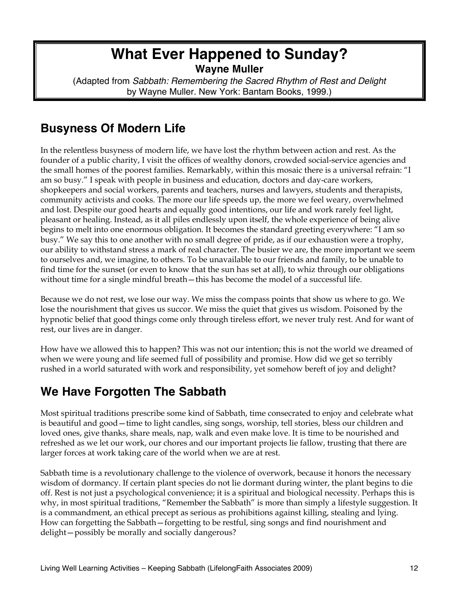## **What Ever Happened to Sunday? Wayne Muller**

(Adapted from *Sabbath: Remembering the Sacred Rhythm of Rest and Delight* by Wayne Muller. New York: Bantam Books, 1999.)

## **Busyness Of Modern Life**

In the relentless busyness of modern life, we have lost the rhythm between action and rest. As the founder of a public charity, I visit the offices of wealthy donors, crowded social-service agencies and the small homes of the poorest families. Remarkably, within this mosaic there is a universal refrain: "I am so busy." I speak with people in business and education, doctors and day-care workers, shopkeepers and social workers, parents and teachers, nurses and lawyers, students and therapists, community activists and cooks. The more our life speeds up, the more we feel weary, overwhelmed and lost. Despite our good hearts and equally good intentions, our life and work rarely feel light, pleasant or healing. Instead, as it all piles endlessly upon itself, the whole experience of being alive begins to melt into one enormous obligation. It becomes the standard greeting everywhere: "I am so busy." We say this to one another with no small degree of pride, as if our exhaustion were a trophy, our ability to withstand stress a mark of real character. The busier we are, the more important we seem to ourselves and, we imagine, to others. To be unavailable to our friends and family, to be unable to find time for the sunset (or even to know that the sun has set at all), to whiz through our obligations without time for a single mindful breath—this has become the model of a successful life.

Because we do not rest, we lose our way. We miss the compass points that show us where to go. We lose the nourishment that gives us succor. We miss the quiet that gives us wisdom. Poisoned by the hypnotic belief that good things come only through tireless effort, we never truly rest. And for want of rest, our lives are in danger.

How have we allowed this to happen? This was not our intention; this is not the world we dreamed of when we were young and life seemed full of possibility and promise. How did we get so terribly rushed in a world saturated with work and responsibility, yet somehow bereft of joy and delight?

## **We Have Forgotten The Sabbath**

Most spiritual traditions prescribe some kind of Sabbath, time consecrated to enjoy and celebrate what is beautiful and good—time to light candles, sing songs, worship, tell stories, bless our children and loved ones, give thanks, share meals, nap, walk and even make love. It is time to be nourished and refreshed as we let our work, our chores and our important projects lie fallow, trusting that there are larger forces at work taking care of the world when we are at rest.

Sabbath time is a revolutionary challenge to the violence of overwork, because it honors the necessary wisdom of dormancy. If certain plant species do not lie dormant during winter, the plant begins to die off. Rest is not just a psychological convenience; it is a spiritual and biological necessity. Perhaps this is why, in most spiritual traditions, "Remember the Sabbath" is more than simply a lifestyle suggestion. It is a commandment, an ethical precept as serious as prohibitions against killing, stealing and lying. How can forgetting the Sabbath—forgetting to be restful, sing songs and find nourishment and delight—possibly be morally and socially dangerous?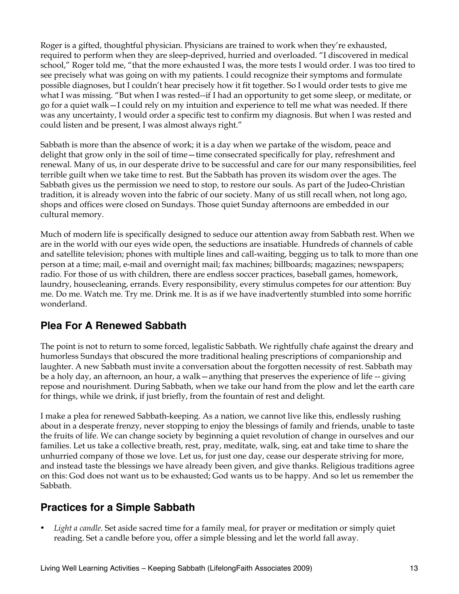Roger is a gifted, thoughtful physician. Physicians are trained to work when they're exhausted, required to perform when they are sleep-deprived, hurried and overloaded. "I discovered in medical school," Roger told me, "that the more exhausted I was, the more tests I would order. I was too tired to see precisely what was going on with my patients. I could recognize their symptoms and formulate possible diagnoses, but I couldn't hear precisely how it fit together. So I would order tests to give me what I was missing. "But when I was rested--if I had an opportunity to get some sleep, or meditate, or go for a quiet walk—I could rely on my intuition and experience to tell me what was needed. If there was any uncertainty, I would order a specific test to confirm my diagnosis. But when I was rested and could listen and be present, I was almost always right."

Sabbath is more than the absence of work; it is a day when we partake of the wisdom, peace and delight that grow only in the soil of time—time consecrated specifically for play, refreshment and renewal. Many of us, in our desperate drive to be successful and care for our many responsibilities, feel terrible guilt when we take time to rest. But the Sabbath has proven its wisdom over the ages. The Sabbath gives us the permission we need to stop, to restore our souls. As part of the Judeo-Christian tradition, it is already woven into the fabric of our society. Many of us still recall when, not long ago, shops and offices were closed on Sundays. Those quiet Sunday afternoons are embedded in our cultural memory.

Much of modern life is specifically designed to seduce our attention away from Sabbath rest. When we are in the world with our eyes wide open, the seductions are insatiable. Hundreds of channels of cable and satellite television; phones with multiple lines and call-waiting, begging us to talk to more than one person at a time; mail, e-mail and overnight mail; fax machines; billboards; magazines; newspapers; radio. For those of us with children, there are endless soccer practices, baseball games, homework, laundry, housecleaning, errands. Every responsibility, every stimulus competes for our attention: Buy me. Do me. Watch me. Try me. Drink me. It is as if we have inadvertently stumbled into some horrific wonderland.

## **Plea For A Renewed Sabbath**

The point is not to return to some forced, legalistic Sabbath. We rightfully chafe against the dreary and humorless Sundays that obscured the more traditional healing prescriptions of companionship and laughter. A new Sabbath must invite a conversation about the forgotten necessity of rest. Sabbath may be a holy day, an afternoon, an hour, a walk—anything that preserves the experience of life -- giving repose and nourishment. During Sabbath, when we take our hand from the plow and let the earth care for things, while we drink, if just briefly, from the fountain of rest and delight.

I make a plea for renewed Sabbath-keeping. As a nation, we cannot live like this, endlessly rushing about in a desperate frenzy, never stopping to enjoy the blessings of family and friends, unable to taste the fruits of life. We can change society by beginning a quiet revolution of change in ourselves and our families. Let us take a collective breath, rest, pray, meditate, walk, sing, eat and take time to share the unhurried company of those we love. Let us, for just one day, cease our desperate striving for more, and instead taste the blessings we have already been given, and give thanks. Religious traditions agree on this: God does not want us to be exhausted; God wants us to be happy. And so let us remember the Sabbath.

## **Practices for a Simple Sabbath**

Light a candle. Set aside sacred time for a family meal, for prayer or meditation or simply quiet reading. Set a candle before you, offer a simple blessing and let the world fall away.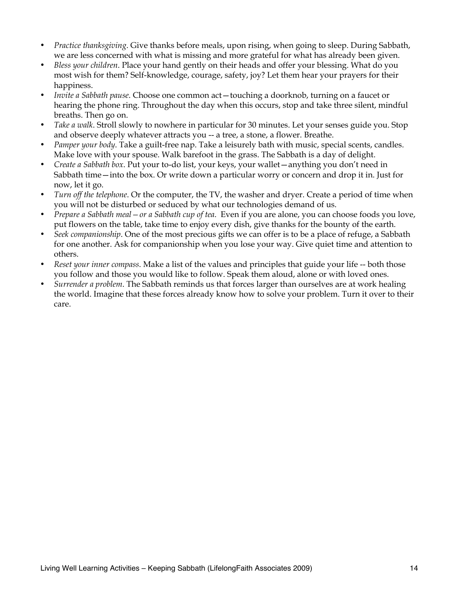- *Practice thanksgiving*. Give thanks before meals, upon rising, when going to sleep. During Sabbath, we are less concerned with what is missing and more grateful for what has already been given.
- *Bless your children*. Place your hand gently on their heads and offer your blessing. What do you most wish for them? Self-knowledge, courage, safety, joy? Let them hear your prayers for their happiness.
- *Invite a Sabbath pause*. Choose one common act—touching a doorknob, turning on a faucet or hearing the phone ring. Throughout the day when this occurs, stop and take three silent, mindful breaths. Then go on.
- *Take a walk*. Stroll slowly to nowhere in particular for 30 minutes. Let your senses guide you. Stop and observe deeply whatever attracts you -- a tree, a stone, a flower. Breathe.
- *Pamper your body*. Take a guilt-free nap. Take a leisurely bath with music, special scents, candles. Make love with your spouse. Walk barefoot in the grass. The Sabbath is a day of delight.
- *Create a Sabbath box*. Put your to-do list, your keys, your wallet—anything you don't need in Sabbath time—into the box. Or write down a particular worry or concern and drop it in. Just for now, let it go.
- *Turn off the telephone*. Or the computer, the TV, the washer and dryer. Create a period of time when you will not be disturbed or seduced by what our technologies demand of us.
- *Prepare a Sabbath meal—or a Sabbath cup of tea*. Even if you are alone, you can choose foods you love, put flowers on the table, take time to enjoy every dish, give thanks for the bounty of the earth.
- *Seek companionship*. One of the most precious gifts we can offer is to be a place of refuge, a Sabbath for one another. Ask for companionship when you lose your way. Give quiet time and attention to others.
- *Reset your inner compass*. Make a list of the values and principles that guide your life -- both those you follow and those you would like to follow. Speak them aloud, alone or with loved ones.
- *Surrender a problem*. The Sabbath reminds us that forces larger than ourselves are at work healing the world. Imagine that these forces already know how to solve your problem. Turn it over to their care.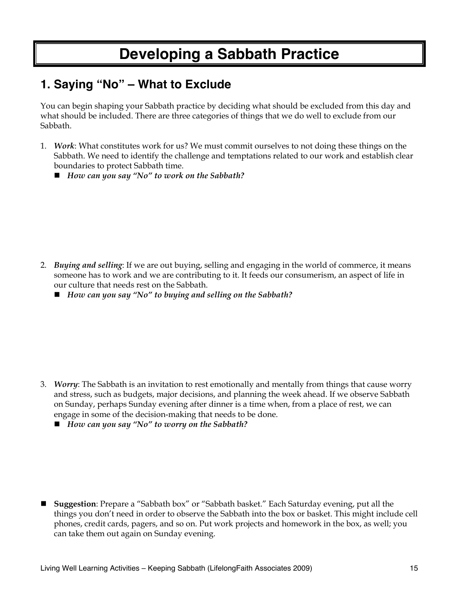# **Developing a Sabbath Practice**

## **1. Saying "No" – What to Exclude**

You can begin shaping your Sabbath practice by deciding what should be excluded from this day and what should be included. There are three categories of things that we do well to exclude from our Sabbath.

- 1. *Work*: What constitutes work for us? We must commit ourselves to not doing these things on the Sabbath. We need to identify the challenge and temptations related to our work and establish clear boundaries to protect Sabbath time.
	- *How can you say "No" to work on the Sabbath?*

- 2. *Buying and selling*: If we are out buying, selling and engaging in the world of commerce, it means someone has to work and we are contributing to it. It feeds our consumerism, an aspect of life in our culture that needs rest on the Sabbath.
	- *How can you say "No" to buying and selling on the Sabbath?*

- 3. *Worry*: The Sabbath is an invitation to rest emotionally and mentally from things that cause worry and stress, such as budgets, major decisions, and planning the week ahead. If we observe Sabbath on Sunday, perhaps Sunday evening after dinner is a time when, from a place of rest, we can engage in some of the decision-making that needs to be done.
	- *How can you say "No" to worry on the Sabbath?*

 **Suggestion**: Prepare a "Sabbath box" or "Sabbath basket." Each Saturday evening, put all the things you don't need in order to observe the Sabbath into the box or basket. This might include cell phones, credit cards, pagers, and so on. Put work projects and homework in the box, as well; you can take them out again on Sunday evening.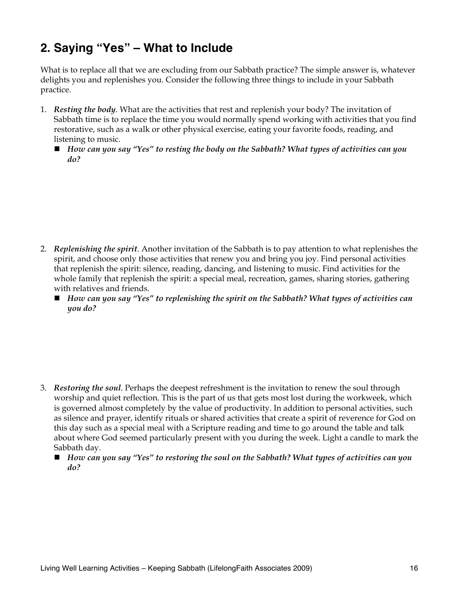## **2. Saying "Yes" – What to Include**

What is to replace all that we are excluding from our Sabbath practice? The simple answer is, whatever delights you and replenishes you. Consider the following three things to include in your Sabbath practice.

- 1. *Resting the body*. What are the activities that rest and replenish your body? The invitation of Sabbath time is to replace the time you would normally spend working with activities that you find restorative, such as a walk or other physical exercise, eating your favorite foods, reading, and listening to music.
	- *How can you say "Yes" to resting the body on the Sabbath? What types of activities can you do?*

- 2. *Replenishing the spirit*. Another invitation of the Sabbath is to pay attention to what replenishes the spirit, and choose only those activities that renew you and bring you joy. Find personal activities that replenish the spirit: silence, reading, dancing, and listening to music. Find activities for the whole family that replenish the spirit: a special meal, recreation, games, sharing stories, gathering with relatives and friends.
	- *How can you say "Yes" to replenishing the spirit on the Sabbath? What types of activities can you do?*

- 3. *Restoring the soul*. Perhaps the deepest refreshment is the invitation to renew the soul through worship and quiet reflection. This is the part of us that gets most lost during the workweek, which is governed almost completely by the value of productivity. In addition to personal activities, such as silence and prayer, identify rituals or shared activities that create a spirit of reverence for God on this day such as a special meal with a Scripture reading and time to go around the table and talk about where God seemed particularly present with you during the week. Light a candle to mark the Sabbath day.
	- *How can you say "Yes" to restoring the soul on the Sabbath? What types of activities can you do?*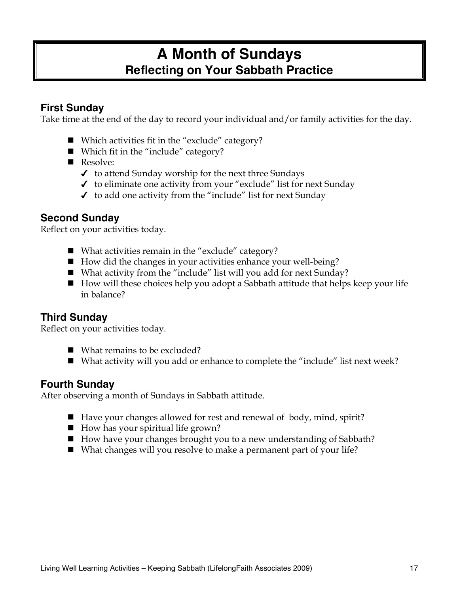## **A Month of Sundays Reflecting on Your Sabbath Practice**

## **First Sunday**

Take time at the end of the day to record your individual and/or family activities for the day.

- $\blacksquare$  Which activities fit in the "exclude" category?
- Which fit in the "include" category?
- Resolve:
	- $\checkmark$  to attend Sunday worship for the next three Sundays
	- $\checkmark$  to eliminate one activity from your "exclude" list for next Sunday
	- $\checkmark$  to add one activity from the "include" list for next Sunday

## **Second Sunday**

Reflect on your activities today.

- What activities remain in the "exclude" category?
- $\blacksquare$  How did the changes in your activities enhance your well-being?
- What activity from the "include" list will you add for next Sunday?
- $\blacksquare$  How will these choices help you adopt a Sabbath attitude that helps keep your life in balance?

## **Third Sunday**

Reflect on your activities today.

- What remains to be excluded?
- What activity will you add or enhance to complete the "include" list next week?

## **Fourth Sunday**

After observing a month of Sundays in Sabbath attitude.

- Have your changes allowed for rest and renewal of body, mind, spirit?
- $\blacksquare$  How has your spiritual life grown?
- How have your changes brought you to a new understanding of Sabbath?
- What changes will you resolve to make a permanent part of your life?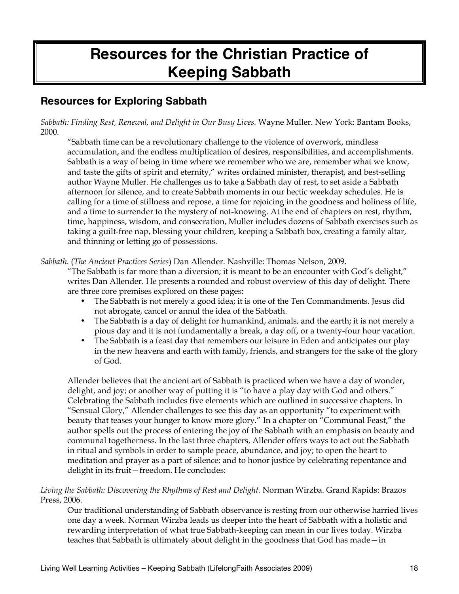# **Resources for the Christian Practice of Keeping Sabbath**

## **Resources for Exploring Sabbath**

*Sabbath: Finding Rest, Renewal, and Delight in Our Busy Lives.* Wayne Muller. New York: Bantam Books, 2000.

"Sabbath time can be a revolutionary challenge to the violence of overwork, mindless accumulation, and the endless multiplication of desires, responsibilities, and accomplishments. Sabbath is a way of being in time where we remember who we are, remember what we know, and taste the gifts of spirit and eternity," writes ordained minister, therapist, and best-selling author Wayne Muller. He challenges us to take a Sabbath day of rest, to set aside a Sabbath afternoon for silence, and to create Sabbath moments in our hectic weekday schedules. He is calling for a time of stillness and repose, a time for rejoicing in the goodness and holiness of life, and a time to surrender to the mystery of not-knowing. At the end of chapters on rest, rhythm, time, happiness, wisdom, and consecration, Muller includes dozens of Sabbath exercises such as taking a guilt-free nap, blessing your children, keeping a Sabbath box, creating a family altar, and thinning or letting go of possessions.

*Sabbath*. (*The Ancient Practices Series*) Dan Allender. Nashville: Thomas Nelson, 2009.

"The Sabbath is far more than a diversion; it is meant to be an encounter with God's delight," writes Dan Allender. He presents a rounded and robust overview of this day of delight. There are three core premises explored on these pages:

- The Sabbath is not merely a good idea; it is one of the Ten Commandments. Jesus did not abrogate, cancel or annul the idea of the Sabbath.
- The Sabbath is a day of delight for humankind, animals, and the earth; it is not merely a pious day and it is not fundamentally a break, a day off, or a twenty-four hour vacation.
- The Sabbath is a feast day that remembers our leisure in Eden and anticipates our play in the new heavens and earth with family, friends, and strangers for the sake of the glory of God.

Allender believes that the ancient art of Sabbath is practiced when we have a day of wonder, delight, and joy; or another way of putting it is "to have a play day with God and others." Celebrating the Sabbath includes five elements which are outlined in successive chapters. In "Sensual Glory," Allender challenges to see this day as an opportunity "to experiment with beauty that teases your hunger to know more glory." In a chapter on "Communal Feast," the author spells out the process of entering the joy of the Sabbath with an emphasis on beauty and communal togetherness. In the last three chapters, Allender offers ways to act out the Sabbath in ritual and symbols in order to sample peace, abundance, and joy; to open the heart to meditation and prayer as a part of silence; and to honor justice by celebrating repentance and delight in its fruit—freedom. He concludes:

*Living the Sabbath: Discovering the Rhythms of Rest and Delight.* Norman Wirzba. Grand Rapids: Brazos Press, 2006.

Our traditional understanding of Sabbath observance is resting from our otherwise harried lives one day a week. Norman Wirzba leads us deeper into the heart of Sabbath with a holistic and rewarding interpretation of what true Sabbath-keeping can mean in our lives today. Wirzba teaches that Sabbath is ultimately about delight in the goodness that God has made—in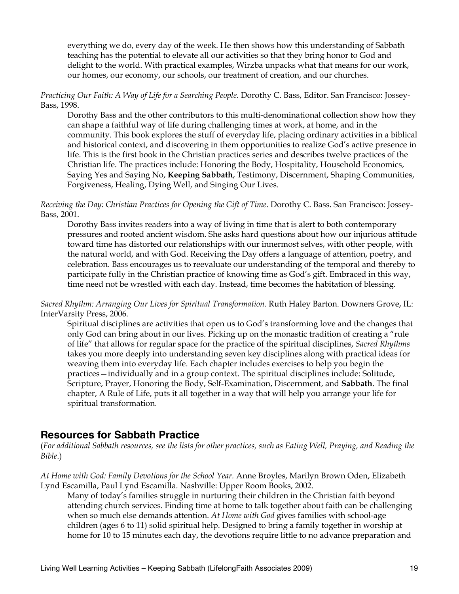everything we do, every day of the week. He then shows how this understanding of Sabbath teaching has the potential to elevate all our activities so that they bring honor to God and delight to the world. With practical examples, Wirzba unpacks what that means for our work, our homes, our economy, our schools, our treatment of creation, and our churches.

*Practicing Our Faith: A Way of Life for a Searching People*. Dorothy C. Bass, Editor. San Francisco: Jossey-Bass, 1998.

Dorothy Bass and the other contributors to this multi-denominational collection show how they can shape a faithful way of life during challenging times at work, at home, and in the community. This book explores the stuff of everyday life, placing ordinary activities in a biblical and historical context, and discovering in them opportunities to realize God's active presence in life. This is the first book in the Christian practices series and describes twelve practices of the Christian life. The practices include: Honoring the Body, Hospitality, Household Economics, Saying Yes and Saying No, **Keeping Sabbath**, Testimony, Discernment, Shaping Communities, Forgiveness, Healing, Dying Well, and Singing Our Lives.

*Receiving the Day: Christian Practices for Opening the Gift of Time.* Dorothy C. Bass. San Francisco: Jossey-Bass, 2001.

Dorothy Bass invites readers into a way of living in time that is alert to both contemporary pressures and rooted ancient wisdom. She asks hard questions about how our injurious attitude toward time has distorted our relationships with our innermost selves, with other people, with the natural world, and with God. Receiving the Day offers a language of attention, poetry, and celebration. Bass encourages us to reevaluate our understanding of the temporal and thereby to participate fully in the Christian practice of knowing time as God's gift. Embraced in this way, time need not be wrestled with each day. Instead, time becomes the habitation of blessing.

*Sacred Rhythm: Arranging Our Lives for Spiritual Transformation.* Ruth Haley Barton. Downers Grove, IL: InterVarsity Press, 2006.

Spiritual disciplines are activities that open us to God's transforming love and the changes that only God can bring about in our lives. Picking up on the monastic tradition of creating a "rule of life" that allows for regular space for the practice of the spiritual disciplines, *Sacred Rhythms* takes you more deeply into understanding seven key disciplines along with practical ideas for weaving them into everyday life. Each chapter includes exercises to help you begin the practices—individually and in a group context. The spiritual disciplines include: Solitude, Scripture, Prayer, Honoring the Body, Self-Examination, Discernment, and **Sabbath**. The final chapter, A Rule of Life, puts it all together in a way that will help you arrange your life for spiritual transformation.

### **Resources for Sabbath Practice**

(*For additional Sabbath resources, see the lists for other practices, such as Eating Well, Praying, and Reading the Bible*.)

*At Home with God: Family Devotions for the School Year.* Anne Broyles, Marilyn Brown Oden, Elizabeth Lynd Escamilla, Paul Lynd Escamilla. Nashville: Upper Room Books, 2002.

Many of today's families struggle in nurturing their children in the Christian faith beyond attending church services. Finding time at home to talk together about faith can be challenging when so much else demands attention. *At Home with God* gives families with school-age children (ages 6 to 11) solid spiritual help. Designed to bring a family together in worship at home for 10 to 15 minutes each day, the devotions require little to no advance preparation and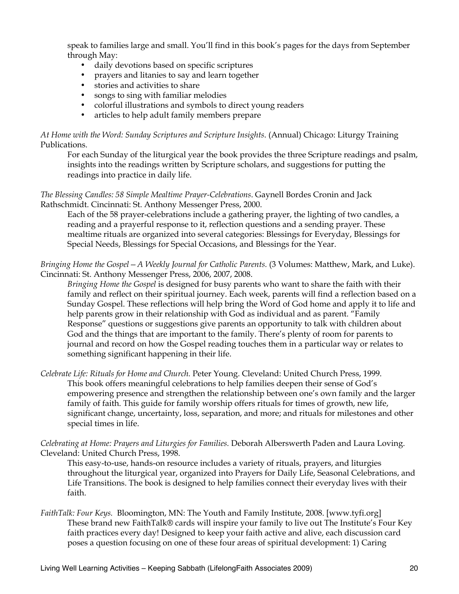speak to families large and small. You'll find in this book's pages for the days from September through May:

- daily devotions based on specific scriptures
- prayers and litanies to say and learn together
- stories and activities to share
- songs to sing with familiar melodies
- colorful illustrations and symbols to direct young readers
- articles to help adult family members prepare

*At Home with the Word: Sunday Scriptures and Scripture Insights*. (Annual) Chicago: Liturgy Training Publications.

For each Sunday of the liturgical year the book provides the three Scripture readings and psalm, insights into the readings written by Scripture scholars, and suggestions for putting the readings into practice in daily life.

*The Blessing Candles: 58 Simple Mealtime Prayer-Celebrations*. Gaynell Bordes Cronin and Jack Rathschmidt. Cincinnati: St. Anthony Messenger Press, 2000.

Each of the 58 prayer-celebrations include a gathering prayer, the lighting of two candles, a reading and a prayerful response to it, reflection questions and a sending prayer. These mealtime rituals are organized into several categories: Blessings for Everyday, Blessings for Special Needs, Blessings for Special Occasions, and Blessings for the Year.

*Bringing Home the Gospel—A Weekly Journal for Catholic Parents.* (3 Volumes: Matthew, Mark, and Luke). Cincinnati: St. Anthony Messenger Press, 2006, 2007, 2008.

*Bringing Home the Gospel* is designed for busy parents who want to share the faith with their family and reflect on their spiritual journey. Each week, parents will find a reflection based on a Sunday Gospel. These reflections will help bring the Word of God home and apply it to life and help parents grow in their relationship with God as individual and as parent. "Family Response" questions or suggestions give parents an opportunity to talk with children about God and the things that are important to the family. There's plenty of room for parents to journal and record on how the Gospel reading touches them in a particular way or relates to something significant happening in their life.

*Celebrate Life: Rituals for Home and Church.* Peter Young. Cleveland: United Church Press, 1999. This book offers meaningful celebrations to help families deepen their sense of God's empowering presence and strengthen the relationship between one's own family and the larger family of faith. This guide for family worship offers rituals for times of growth, new life, significant change, uncertainty, loss, separation, and more; and rituals for milestones and other special times in life.

*Celebrating at Home: Prayers and Liturgies for Families.* Deborah Alberswerth Paden and Laura Loving. Cleveland: United Church Press, 1998.

This easy-to-use, hands-on resource includes a variety of rituals, prayers, and liturgies throughout the liturgical year, organized into Prayers for Daily Life, Seasonal Celebrations, and Life Transitions. The book is designed to help families connect their everyday lives with their faith.

*FaithTalk: Four Keys.* Bloomington, MN: The Youth and Family Institute, 2008. [www.tyfi.org] These brand new FaithTalk® cards will inspire your family to live out The Institute's Four Key faith practices every day! Designed to keep your faith active and alive, each discussion card poses a question focusing on one of these four areas of spiritual development: 1) Caring